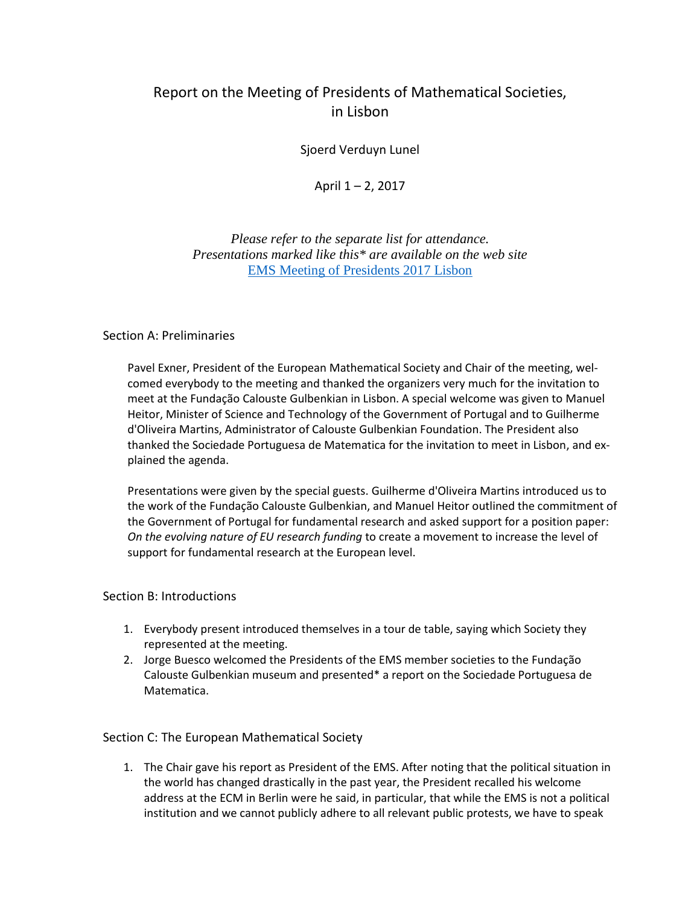# Report on the Meeting of Presidents of Mathematical Societies, in Lisbon

Sjoerd Verduyn Lunel

April 1 – 2, 2017

*Please refer to the separate list for attendance. Presentations marked like this\* are available on the web site*  [EMS Meeting of Presidents 2017 Lisbon](http://ems2017.spm.pt/)

# Section A: Preliminaries

Pavel Exner, President of the European Mathematical Society and Chair of the meeting, welcomed everybody to the meeting and thanked the organizers very much for the invitation to meet at the Fundação Calouste Gulbenkian in Lisbon. A special welcome was given to Manuel Heitor, Minister of Science and Technology of the Government of Portugal and to Guilherme d'Oliveira Martins, Administrator of Calouste Gulbenkian Foundation. The President also thanked the Sociedade Portuguesa de Matematica for the invitation to meet in Lisbon, and explained the agenda.

Presentations were given by the special guests. Guilherme d'Oliveira Martins introduced us to the work of the Fundação Calouste Gulbenkian, and Manuel Heitor outlined the commitment of the Government of Portugal for fundamental research and asked support for a position paper: *On the evolving nature of EU research funding* to create a movement to increase the level of support for fundamental research at the European level.

# Section B: Introductions

- 1. Everybody present introduced themselves in a tour de table, saying which Society they represented at the meeting.
- 2. Jorge Buesco welcomed the Presidents of the EMS member societies to the Fundação Calouste Gulbenkian museum and presented\* a report on the Sociedade Portuguesa de Matematica.

# Section C: The European Mathematical Society

1. The Chair gave his report as President of the EMS. After noting that the political situation in the world has changed drastically in the past year, the President recalled his welcome address at the ECM in Berlin were he said, in particular, that while the EMS is not a political institution and we cannot publicly adhere to all relevant public protests, we have to speak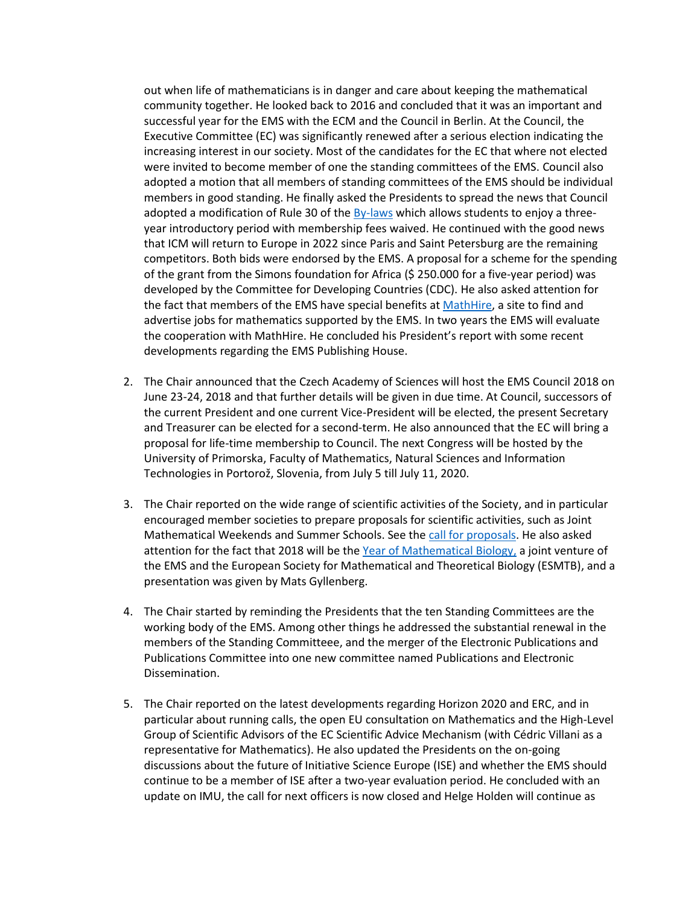out when life of mathematicians is in danger and care about keeping the mathematical community together. He looked back to 2016 and concluded that it was an important and successful year for the EMS with the ECM and the Council in Berlin. At the Council, the Executive Committee (EC) was significantly renewed after a serious election indicating the increasing interest in our society. Most of the candidates for the EC that where not elected were invited to become member of one the standing committees of the EMS. Council also adopted a motion that all members of standing committees of the EMS should be individual members in good standing. He finally asked the Presidents to spread the news that Council adopted a modification of Rule 30 of the [By-laws](http://euro-math-soc.eu/laws) which allows students to enjoy a threeyear introductory period with membership fees waived. He continued with the good news that ICM will return to Europe in 2022 since Paris and Saint Petersburg are the remaining competitors. Both bids were endorsed by the EMS. A proposal for a scheme for the spending of the grant from the Simons foundation for Africa (\$ 250.000 for a five-year period) was developed by the Committee for Developing Countries (CDC). He also asked attention for the fact that members of the EMS have special benefits a[t MathHire,](https://mathhire.org/) a site to find and advertise jobs for mathematics supported by the EMS. In two years the EMS will evaluate the cooperation with MathHire. He concluded his President's report with some recent developments regarding the EMS Publishing House.

- 2. The Chair announced that the Czech Academy of Sciences will host the EMS Council 2018 on June 23-24, 2018 and that further details will be given in due time. At Council, successors of the current President and one current Vice-President will be elected, the present Secretary and Treasurer can be elected for a second-term. He also announced that the EC will bring a proposal for life-time membership to Council. The next Congress will be hosted by the University of Primorska, Faculty of Mathematics, Natural Sciences and Information Technologies in Portorož, Slovenia, from July 5 till July 11, 2020.
- 3. The Chair reported on the wide range of scientific activities of the Society, and in particular encouraged member societies to prepare proposals for scientific activities, such as Joint Mathematical Weekends and Summer Schools. See the [call for proposals.](http://euro-math-soc.eu/news/13/01/10/call-proposals-scientific-activities-2018) He also asked attention for the fact that 2018 will be the Year [of Mathematical Biology,](Year%20of%20Mathematical%20Biology) a joint venture of the EMS and the European Society for Mathematical and Theoretical Biology (ESMTB), and a presentation was given by Mats Gyllenberg.
- 4. The Chair started by reminding the Presidents that the ten Standing Committees are the working body of the EMS. Among other things he addressed the substantial renewal in the members of the Standing Committeee, and the merger of the Electronic Publications and Publications Committee into one new committee named Publications and Electronic Dissemination.
- 5. The Chair reported on the latest developments regarding Horizon 2020 and ERC, and in particular about running calls, the open EU consultation on Mathematics and the High-Level Group of Scientific Advisors of the EC Scientific Advice Mechanism (with Cédric Villani as a representative for Mathematics). He also updated the Presidents on the on-going discussions about the future of Initiative Science Europe (ISE) and whether the EMS should continue to be a member of ISE after a two-year evaluation period. He concluded with an update on IMU, the call for next officers is now closed and Helge Holden will continue as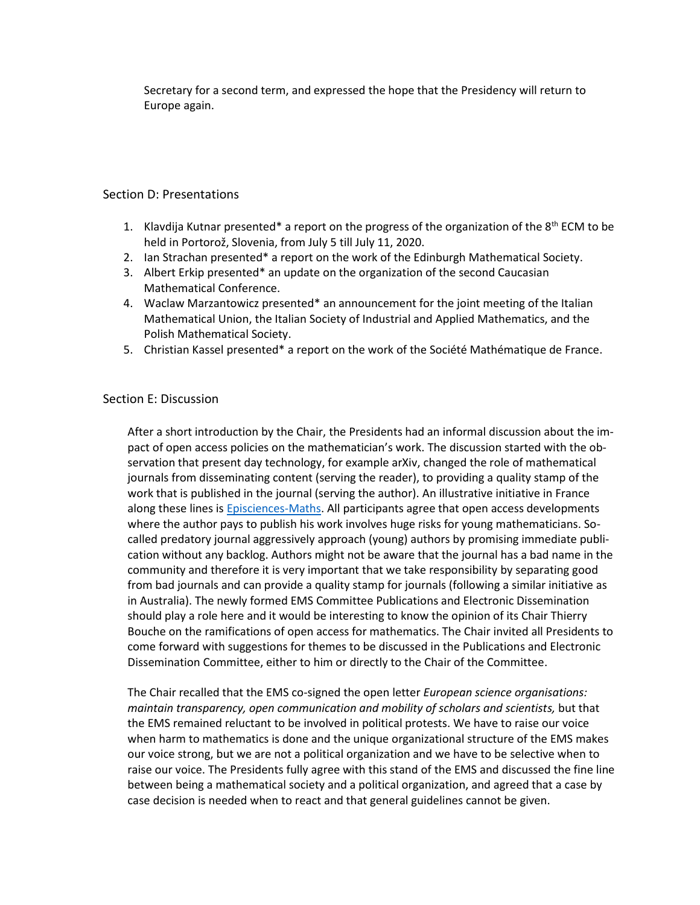Secretary for a second term, and expressed the hope that the Presidency will return to Europe again.

# Section D: Presentations

- 1. Klavdija Kutnar presented\* a report on the progress of the organization of the  $8<sup>th</sup>$  ECM to be held in Portorož, Slovenia, from July 5 till July 11, 2020.
- 2. Ian Strachan presented\* a report on the work of the Edinburgh Mathematical Society.
- 3. Albert Erkip presented\* an update on the organization of the second Caucasian Mathematical Conference.
- 4. Waclaw Marzantowicz presented\* an announcement for the joint meeting of the Italian Mathematical Union, the Italian Society of Industrial and Applied Mathematics, and the Polish Mathematical Society.
- 5. Christian Kassel presented\* a report on the work of the Société Mathématique de France.

# Section E: Discussion

After a short introduction by the Chair, the Presidents had an informal discussion about the impact of open access policies on the mathematician's work. The discussion started with the observation that present day technology, for example arXiv, changed the role of mathematical journals from disseminating content (serving the reader), to providing a quality stamp of the work that is published in the journal (serving the author). An illustrative initiative in France along these lines is [Episciences-Maths.](http://episciences.org/page/epimath/lang/en) All participants agree that open access developments where the author pays to publish his work involves huge risks for young mathematicians. Socalled predatory journal aggressively approach (young) authors by promising immediate publication without any backlog. Authors might not be aware that the journal has a bad name in the community and therefore it is very important that we take responsibility by separating good from bad journals and can provide a quality stamp for journals (following a similar initiative as in Australia). The newly formed EMS Committee Publications and Electronic Dissemination should play a role here and it would be interesting to know the opinion of its Chair Thierry Bouche on the ramifications of open access for mathematics. The Chair invited all Presidents to come forward with suggestions for themes to be discussed in the Publications and Electronic Dissemination Committee, either to him or directly to the Chair of the Committee.

The Chair recalled that the EMS co-signed the open letter *European science organisations: maintain transparency, open communication and mobility of scholars and scientists,* but that the EMS remained reluctant to be involved in political protests. We have to raise our voice when harm to mathematics is done and the unique organizational structure of the EMS makes our voice strong, but we are not a political organization and we have to be selective when to raise our voice. The Presidents fully agree with this stand of the EMS and discussed the fine line between being a mathematical society and a political organization, and agreed that a case by case decision is needed when to react and that general guidelines cannot be given.